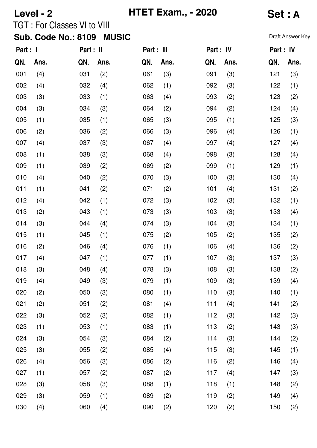| Level - 2 |      |                                    |              |            | <b>HTET Exam., - 2020</b> |           |      |                  | <b>Set: A</b> |  |  |
|-----------|------|------------------------------------|--------------|------------|---------------------------|-----------|------|------------------|---------------|--|--|
|           |      | <b>TGT: For Classes VI to VIII</b> |              |            |                           |           |      |                  |               |  |  |
|           |      | <b>Sub. Code No.: 8109</b>         | <b>MUSIC</b> |            |                           |           |      | Draft Answer Key |               |  |  |
| Part : I  |      | Part : II                          |              | Part : III |                           | Part : IV |      | Part : IV        |               |  |  |
| QN.       | Ans. | QN.                                | Ans.         | QN.        | Ans.                      | QN.       | Ans. | QN.              | Ans.          |  |  |
| 001       | (4)  | 031                                | (2)          | 061        | (3)                       | 091       | (3)  | 121              | (3)           |  |  |
| 002       | (4)  | 032                                | (4)          | 062        | (1)                       | 092       | (3)  | 122              | (1)           |  |  |
| 003       | (3)  | 033                                | (1)          | 063        | (4)                       | 093       | (2)  | 123              | (2)           |  |  |
| 004       | (3)  | 034                                | (3)          | 064        | (2)                       | 094       | (2)  | 124              | (4)           |  |  |
| 005       | (1)  | 035                                | (1)          | 065        | (3)                       | 095       | (1)  | 125              | (3)           |  |  |
| 006       | (2)  | 036                                | (2)          | 066        | (3)                       | 096       | (4)  | 126              | (1)           |  |  |
| 007       | (4)  | 037                                | (3)          | 067        | (4)                       | 097       | (4)  | 127              | (4)           |  |  |
| 008       | (1)  | 038                                | (3)          | 068        | (4)                       | 098       | (3)  | 128              | (4)           |  |  |
| 009       | (1)  | 039                                | (2)          | 069        | (2)                       | 099       | (1)  | 129              | (1)           |  |  |
| 010       | (4)  | 040                                | (2)          | 070        | (3)                       | 100       | (3)  | 130              | (4)           |  |  |
| 011       | (1)  | 041                                | (2)          | 071        | (2)                       | 101       | (4)  | 131              | (2)           |  |  |
| 012       | (4)  | 042                                | (1)          | 072        | (3)                       | 102       | (3)  | 132              | (1)           |  |  |
| 013       | (2)  | 043                                | (1)          | 073        | (3)                       | 103       | (3)  | 133              | (4)           |  |  |
| 014       | (3)  | 044                                | (4)          | 074        | (3)                       | 104       | (3)  | 134              | (1)           |  |  |
| 015       | (1)  | 045                                | (1)          | 075        | (2)                       | 105       | (2)  | 135              | (2)           |  |  |
| 016       | (2)  | 046                                | (4)          | 076        | (1)                       | 106       | (4)  | 136              | (2)           |  |  |
| 017       | (4)  | 047                                | (1)          | 077        | (1)                       | 107       | (3)  | 137              | (3)           |  |  |
| 018       | (3)  | 048                                | (4)          | 078        | (3)                       | 108       | (3)  | 138              | (2)           |  |  |
| 019       | (4)  | 049                                | (3)          | 079        | (1)                       | 109       | (3)  | 139              | (4)           |  |  |
| 020       | (2)  | 050                                | (3)          | 080        | (1)                       | 110       | (3)  | 140              | (1)           |  |  |
| 021       | (2)  | 051                                | (2)          | 081        | (4)                       | 111       | (4)  | 141              | (2)           |  |  |
| 022       | (3)  | 052                                | (3)          | 082        | (1)                       | 112       | (3)  | 142              | (3)           |  |  |
| 023       | (1)  | 053                                | (1)          | 083        | (1)                       | 113       | (2)  | 143              | (3)           |  |  |
| 024       | (3)  | 054                                | (3)          | 084        | (2)                       | 114       | (3)  | 144              | (2)           |  |  |
| 025       | (3)  | 055                                | (2)          | 085        | (4)                       | 115       | (3)  | 145              | (1)           |  |  |
| 026       | (4)  | 056                                | (3)          | 086        | (2)                       | 116       | (2)  | 146              | (4)           |  |  |
| 027       | (1)  | 057                                | (2)          | 087        | (2)                       | 117       | (4)  | 147              | (3)           |  |  |
| 028       | (3)  | 058                                | (3)          | 088        | (1)                       | 118       | (1)  | 148              | (2)           |  |  |
| 029       | (3)  | 059                                | (1)          | 089        | (2)                       | 119       | (2)  | 149              | (4)           |  |  |
| 030       | (4)  | 060                                | (4)          | 090        | (2)                       | 120       | (2)  | 150              | (2)           |  |  |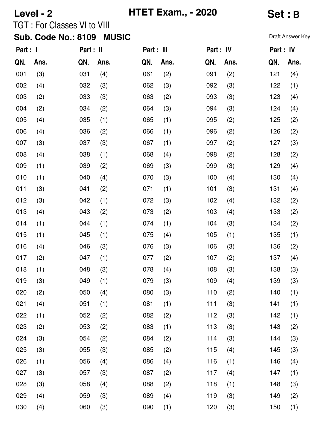| Level - 2             |      |                                    |              |     | <b>HTET Exam., - 2020</b> |     |           |                  | Set : B |  |  |
|-----------------------|------|------------------------------------|--------------|-----|---------------------------|-----|-----------|------------------|---------|--|--|
|                       |      | <b>TGT: For Classes VI to VIII</b> |              |     |                           |     |           |                  |         |  |  |
|                       |      | <b>Sub. Code No.: 8109</b>         | <b>MUSIC</b> |     |                           |     |           | Draft Answer Key |         |  |  |
| Part : I<br>Part : II |      |                                    | Part : III   |     | Part : IV                 |     | Part : IV |                  |         |  |  |
| QN.                   | Ans. | QN.                                | Ans.         | QN. | Ans.                      | QN. | Ans.      | QN.              | Ans.    |  |  |
| 001                   | (3)  | 031                                | (4)          | 061 | (2)                       | 091 | (2)       | 121              | (4)     |  |  |
| 002                   | (4)  | 032                                | (3)          | 062 | (3)                       | 092 | (3)       | 122              | (1)     |  |  |
| 003                   | (2)  | 033                                | (3)          | 063 | (2)                       | 093 | (3)       | 123              | (4)     |  |  |
| 004                   | (2)  | 034                                | (2)          | 064 | (3)                       | 094 | (3)       | 124              | (4)     |  |  |
| 005                   | (4)  | 035                                | (1)          | 065 | (1)                       | 095 | (2)       | 125              | (2)     |  |  |
| 006                   | (4)  | 036                                | (2)          | 066 | (1)                       | 096 | (2)       | 126              | (2)     |  |  |
| 007                   | (3)  | 037                                | (3)          | 067 | (1)                       | 097 | (2)       | 127              | (3)     |  |  |
| 008                   | (4)  | 038                                | (1)          | 068 | (4)                       | 098 | (2)       | 128              | (2)     |  |  |
| 009                   | (1)  | 039                                | (2)          | 069 | (3)                       | 099 | (3)       | 129              | (4)     |  |  |
| 010                   | (1)  | 040                                | (4)          | 070 | (3)                       | 100 | (4)       | 130              | (4)     |  |  |
| 011                   | (3)  | 041                                | (2)          | 071 | (1)                       | 101 | (3)       | 131              | (4)     |  |  |
| 012                   | (3)  | 042                                | (1)          | 072 | (3)                       | 102 | (4)       | 132              | (2)     |  |  |
| 013                   | (4)  | 043                                | (2)          | 073 | (2)                       | 103 | (4)       | 133              | (2)     |  |  |
| 014                   | (1)  | 044                                | (1)          | 074 | (1)                       | 104 | (3)       | 134              | (2)     |  |  |
| 015                   | (1)  | 045                                | (1)          | 075 | (4)                       | 105 | (1)       | 135              | (1)     |  |  |
| 016                   | (4)  | 046                                | (3)          | 076 | (3)                       | 106 | (3)       | 136              | (2)     |  |  |
| 017                   | (2)  | 047                                | (1)          | 077 | (2)                       | 107 | (2)       | 137              | (4)     |  |  |
| 018                   | (1)  | 048                                | (3)          | 078 | (4)                       | 108 | (3)       | 138              | (3)     |  |  |
| 019                   | (3)  | 049                                | (1)          | 079 | (3)                       | 109 | (4)       | 139              | (3)     |  |  |
| 020                   | (2)  | 050                                | (4)          | 080 | (3)                       | 110 | (2)       | 140              | (1)     |  |  |
| 021                   | (4)  | 051                                | (1)          | 081 | (1)                       | 111 | (3)       | 141              | (1)     |  |  |
| 022                   | (1)  | 052                                | (2)          | 082 | (2)                       | 112 | (3)       | 142              | (1)     |  |  |
| 023                   | (2)  | 053                                | (2)          | 083 | (1)                       | 113 | (3)       | 143              | (2)     |  |  |
| 024                   | (3)  | 054                                | (2)          | 084 | (2)                       | 114 | (3)       | 144              | (3)     |  |  |
| 025                   | (3)  | 055                                | (3)          | 085 | (2)                       | 115 | (4)       | 145              | (3)     |  |  |
| 026                   | (1)  | 056                                | (4)          | 086 | (4)                       | 116 | (1)       | 146              | (4)     |  |  |
| 027                   | (3)  | 057                                | (3)          | 087 | (2)                       | 117 | (4)       | 147              | (1)     |  |  |
| 028                   | (3)  | 058                                | (4)          | 088 | (2)                       | 118 | (1)       | 148              | (3)     |  |  |
| 029                   | (4)  | 059                                | (3)          | 089 | (4)                       | 119 | (3)       | 149              | (2)     |  |  |
| 030                   | (4)  | 060                                | (3)          | 090 | (1)                       | 120 | (3)       | 150              | (1)     |  |  |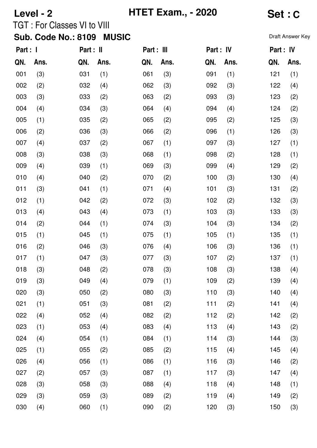| Level - 2                                  |      |                                    |      |            | <b>HTET Exam., - 2020</b> | Set : C   |      |                  |      |  |
|--------------------------------------------|------|------------------------------------|------|------------|---------------------------|-----------|------|------------------|------|--|
|                                            |      | <b>TGT: For Classes VI to VIII</b> |      |            |                           |           |      |                  |      |  |
| <b>MUSIC</b><br><b>Sub. Code No.: 8109</b> |      |                                    |      |            |                           |           |      | Draft Answer Key |      |  |
| Part : I                                   |      | Part : II                          |      | Part : III |                           | Part : IV |      | Part : IV        |      |  |
| QN.                                        | Ans. | QN.                                | Ans. | QN.        | Ans.                      | QN.       | Ans. | QN.              | Ans. |  |
| 001                                        | (3)  | 031                                | (1)  | 061        | (3)                       | 091       | (1)  | 121              | (1)  |  |
| 002                                        | (2)  | 032                                | (4)  | 062        | (3)                       | 092       | (3)  | 122              | (4)  |  |
| 003                                        | (3)  | 033                                | (2)  | 063        | (2)                       | 093       | (3)  | 123              | (2)  |  |
| 004                                        | (4)  | 034                                | (3)  | 064        | (4)                       | 094       | (4)  | 124              | (2)  |  |
| 005                                        | (1)  | 035                                | (2)  | 065        | (2)                       | 095       | (2)  | 125              | (3)  |  |
| 006                                        | (2)  | 036                                | (3)  | 066        | (2)                       | 096       | (1)  | 126              | (3)  |  |
| 007                                        | (4)  | 037                                | (2)  | 067        | (1)                       | 097       | (3)  | 127              | (1)  |  |
| 008                                        | (3)  | 038                                | (3)  | 068        | (1)                       | 098       | (2)  | 128              | (1)  |  |
| 009                                        | (4)  | 039                                | (1)  | 069        | (3)                       | 099       | (4)  | 129              | (2)  |  |
| 010                                        | (4)  | 040                                | (2)  | 070        | (2)                       | 100       | (3)  | 130              | (4)  |  |
| 011                                        | (3)  | 041                                | (1)  | 071        | (4)                       | 101       | (3)  | 131              | (2)  |  |
| 012                                        | (1)  | 042                                | (2)  | 072        | (3)                       | 102       | (2)  | 132              | (3)  |  |
| 013                                        | (4)  | 043                                | (4)  | 073        | (1)                       | 103       | (3)  | 133              | (3)  |  |
| 014                                        | (2)  | 044                                | (1)  | 074        | (3)                       | 104       | (3)  | 134              | (2)  |  |
| 015                                        | (1)  | 045                                | (1)  | 075        | (1)                       | 105       | (1)  | 135              | (1)  |  |
| 016                                        | (2)  | 046                                | (3)  | 076        | (4)                       | 106       | (3)  | 136              | (1)  |  |
| 017                                        | (1)  | 047                                | (3)  | 077        | (3)                       | 107       | (2)  | 137              | (1)  |  |
| 018                                        | (3)  | 048                                | (2)  | 078        | (3)                       | 108       | (3)  | 138              | (4)  |  |
| 019                                        | (3)  | 049                                | (4)  | 079        | (1)                       | 109       | (2)  | 139              | (4)  |  |
| 020                                        | (3)  | 050                                | (2)  | 080        | (3)                       | 110       | (3)  | 140              | (4)  |  |
| 021                                        | (1)  | 051                                | (3)  | 081        | (2)                       | 111       | (2)  | 141              | (4)  |  |
| 022                                        | (4)  | 052                                | (4)  | 082        | (2)                       | 112       | (2)  | 142              | (2)  |  |
| 023                                        | (1)  | 053                                | (4)  | 083        | (4)                       | 113       | (4)  | 143              | (2)  |  |
| 024                                        | (4)  | 054                                | (1)  | 084        | (1)                       | 114       | (3)  | 144              | (3)  |  |
| 025                                        | (1)  | 055                                | (2)  | 085        | (2)                       | 115       | (4)  | 145              | (4)  |  |
| 026                                        | (4)  | 056                                | (1)  | 086        | (1)                       | 116       | (3)  | 146              | (2)  |  |
| 027                                        | (2)  | 057                                | (3)  | 087        | (1)                       | 117       | (3)  | 147              | (4)  |  |
| 028                                        | (3)  | 058                                | (3)  | 088        | (4)                       | 118       | (4)  | 148              | (1)  |  |
| 029                                        | (3)  | 059                                | (3)  | 089        | (2)                       | 119       | (4)  | 149              | (2)  |  |
| 030                                        | (4)  | 060                                | (1)  | 090        | (2)                       | 120       | (3)  | 150              | (3)  |  |